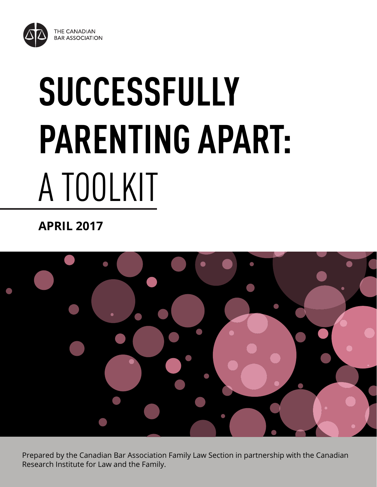

# **SUCCESSFULLY PARENTING APART:** A TOOLKIT

**APRIL 2017**



Prepared by the Canadian Bar Association Family Law Section in partnership with the Canadian Research Institute for Law and the Family.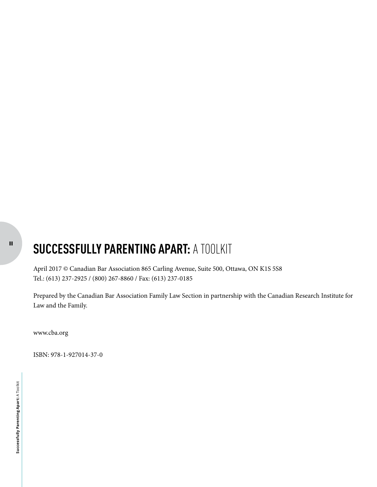# **III SUCCESSFULLY PARENTING APART: A TOOLKIT**

April 2017 © Canadian Bar Association 865 Carling Avenue, Suite 500, Ottawa, ON K1S 5S8 Tel.: (613) 237-2925 / (800) 267-8860 / Fax: (613) 237-0185

Prepared by the Canadian Bar Association Family Law Section in partnership with the Canadian Research Institute for Law and the Family.

www.cba.org

ISBN: 978-1-927014-37-0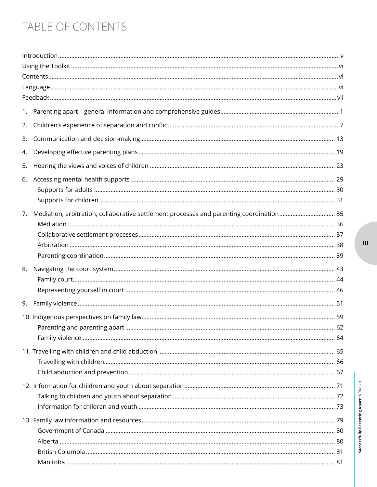## TABLE OF CONTENTS

| 1. |                                                                                          |    |
|----|------------------------------------------------------------------------------------------|----|
| 2. |                                                                                          |    |
| 3. |                                                                                          |    |
| 4. |                                                                                          |    |
| 5. |                                                                                          |    |
| 6. |                                                                                          |    |
|    |                                                                                          |    |
|    |                                                                                          |    |
| 7. | Mediation, arbitration, collaborative settlement processes and parenting coordination 35 |    |
|    |                                                                                          |    |
|    |                                                                                          |    |
|    |                                                                                          |    |
|    |                                                                                          |    |
| 8. |                                                                                          |    |
|    |                                                                                          |    |
|    |                                                                                          |    |
| 9. |                                                                                          |    |
|    |                                                                                          |    |
|    |                                                                                          |    |
|    |                                                                                          |    |
|    |                                                                                          |    |
|    |                                                                                          |    |
|    |                                                                                          |    |
|    |                                                                                          |    |
|    |                                                                                          |    |
|    |                                                                                          |    |
|    |                                                                                          |    |
|    |                                                                                          |    |
|    |                                                                                          |    |
|    |                                                                                          |    |
|    |                                                                                          | 81 |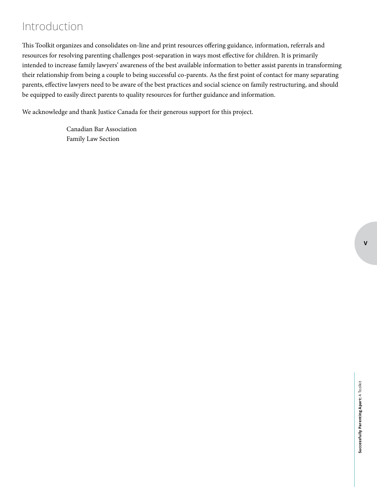## Introduction

This Toolkit organizes and consolidates on-line and print resources offering guidance, information, referrals and resources for resolving parenting challenges post-separation in ways most efective for children. It is primarily intended to increase family lawyers' awareness of the best available information to better assist parents in transforming their relationship from being a couple to being successful co-parents. As the frst point of contact for many separating parents, efective lawyers need to be aware of the best practices and social science on family restructuring, and should be equipped to easily direct parents to quality resources for further guidance and information.

We acknowledge and thank Justice Canada for their generous support for this project.

 Canadian Bar Association Family Law Section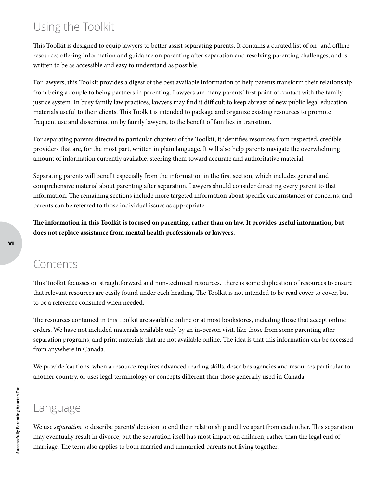## Using the Toolkit

This Toolkit is designed to equip lawyers to better assist separating parents. It contains a curated list of on- and offline resources offering information and guidance on parenting after separation and resolving parenting challenges, and is written to be as accessible and easy to understand as possible.

For lawyers, this Toolkit provides a digest of the best available information to help parents transform their relationship from being a couple to being partners in parenting. Lawyers are many parents' frst point of contact with the family justice system. In busy family law practices, lawyers may find it difficult to keep abreast of new public legal education materials useful to their clients. Tis Toolkit is intended to package and organize existing resources to promote frequent use and dissemination by family lawyers, to the beneft of families in transition.

For separating parents directed to particular chapters of the Toolkit, it identifes resources from respected, credible providers that are, for the most part, written in plain language. It will also help parents navigate the overwhelming amount of information currently available, steering them toward accurate and authoritative material.

Separating parents will beneft especially from the information in the frst section, which includes general and comprehensive material about parenting afer separation. Lawyers should consider directing every parent to that information. The remaining sections include more targeted information about specific circumstances or concerns, and parents can be referred to those individual issues as appropriate.

The information in this Toolkit is focused on parenting, rather than on law. It provides useful information, but **does not replace assistance from mental health professionals or lawyers.**

#### Contents

This Toolkit focusses on straightforward and non-technical resources. There is some duplication of resources to ensure that relevant resources are easily found under each heading. The Toolkit is not intended to be read cover to cover, but to be a reference consulted when needed.

The resources contained in this Toolkit are available online or at most bookstores, including those that accept online orders. We have not included materials available only by an in-person visit, like those from some parenting afer separation programs, and print materials that are not available online. The idea is that this information can be accessed from anywhere in Canada.

We provide 'cautions' when a resource requires advanced reading skills, describes agencies and resources particular to another country, or uses legal terminology or concepts diferent than those generally used in Canada.

#### Language

We use *separation* to describe parents' decision to end their relationship and live apart from each other. This separation may eventually result in divorce, but the separation itself has most impact on children, rather than the legal end of marriage. The term also applies to both married and unmarried parents not living together.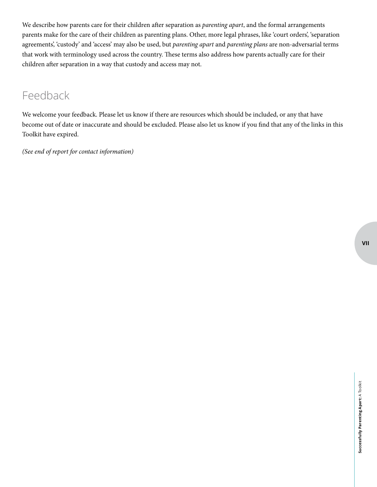We describe how parents care for their children after separation as *parenting apart*, and the formal arrangements parents make for the care of their children as parenting plans. Other, more legal phrases, like 'court orders', 'separation agreements', 'custody' and 'access' may also be used, but *parenting apart* and *parenting plans* are non-adversarial terms that work with terminology used across the country. These terms also address how parents actually care for their children after separation in a way that custody and access may not.

#### Feedback

We welcome your feedback. Please let us know if there are resources which should be included, or any that have become out of date or inaccurate and should be excluded. Please also let us know if you fnd that any of the links in this Toolkit have expired.

*(See end of report for contact information)*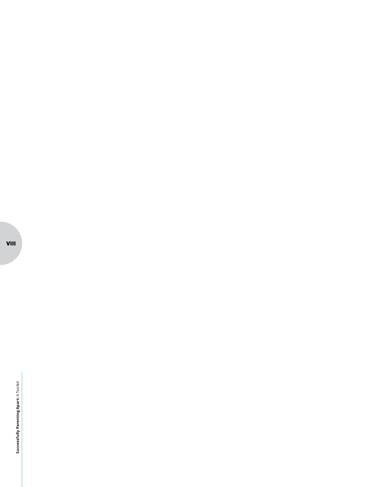Successfully Parenting Apart: A Toolkit **Successfully Parenting Apart:** A Toolkit

**VIII**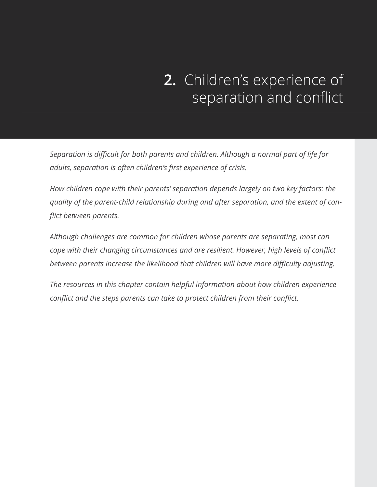# **2.** Children's experience of separation and conflict

Separation is difficult for both parents and children. Although a normal part of life for *adults, separation is often children's frst experience of crisis.*

*How children cope with their parents' separation depends largely on two key factors: the quality of the parent-child relationship during and after separation, and the extent of con fict between parents.* 

*Although challenges are common for children whose parents are separating, most can cope with their changing circumstances and are resilient. However, high levels of confict*  between parents increase the likelihood that children will have more difficulty adjusting.

*The resources in this chapter contain helpful information about how children experience confict and the steps parents can take to protect children from their confict.*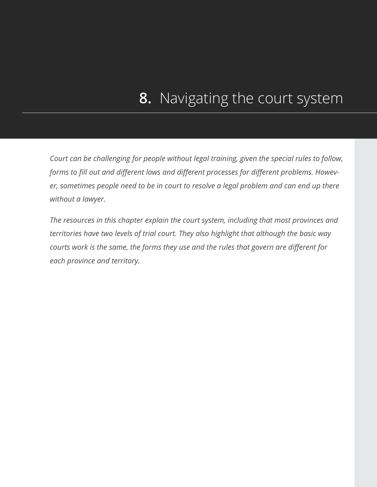# **8.** Navigating the court system

*Court can be challenging for people without legal training, given the special rules to follow, forms to fll out and diferent laws and diferent processes for diferent problems. However, sometimes people need to be in court to resolve a legal problem and can end up there without a lawyer.* 

*The resources in this chapter explain the court system, including that most provinces and territories have two levels of trial court. They also highlight that although the basic way courts work is the same, the forms they use and the rules that govern are diferent for each province and territory.*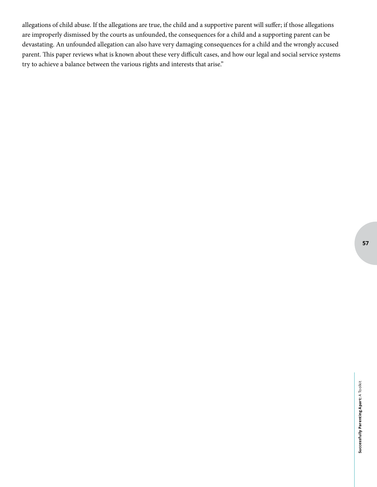allegations of child abuse. If the allegations are true, the child and a supportive parent will sufer; if those allegations are improperly dismissed by the courts as unfounded, the consequences for a child and a supporting parent can be devastating. An unfounded allegation can also have very damaging consequences for a child and the wrongly accused parent. This paper reviews what is known about these very difficult cases, and how our legal and social service systems try to achieve a balance between the various rights and interests that arise."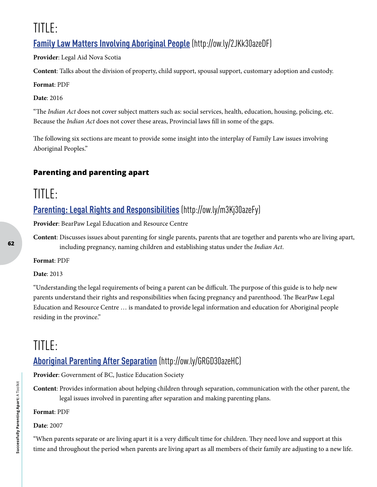# TITLE:

## **[Family Law Matters Involving Aboriginal People](https://www.nslegalaid.ca/wp-content/uploads/2016/06/PLE-AJ-Family-Law-Matters-Involving-Aboriginal-Peoples.pdf)** (http://ow.ly/2JKk30azeDF)

**Provider**: Legal Aid Nova Scotia

**Content**: Talks about the division of property, child support, spousal support, customary adoption and custody.

**Format**: PDF

**Date**: 2016

"The *Indian Act* does not cover subject matters such as: social services, health, education, housing, policing, etc. Because the *Indian Act* does not cover these areas, Provincial laws fll in some of the gaps.

The following six sections are meant to provide some insight into the interplay of Family Law issues involving Aboriginal Peoples."

### **Parenting and parenting apart**

## TITLE:

## **[Parenting: Legal Rights and Responsibilities](http://www.bearpaweducation.ca/sites/default/files/Parenting%20Guide%20Jan%202011.pdf)** (http://ow.ly/m3Kj30azeFy)

**Provider**: BearPaw Legal Education and Resource Centre

**Content**: Discusses issues about parenting for single parents, parents that are together and parents who are living apart, including pregnancy, naming children and establishing status under the *Indian Act*.

**Format**: PDF

#### **Date**: 2013

"Understanding the legal requirements of being a parent can be difficult. The purpose of this guide is to help new parents understand their rights and responsibilities when facing pregnancy and parenthood. The BearPaw Legal Education and Resource Centre … is mandated to provide legal information and education for Aboriginal people residing in the province."

## TITLE:

### **[Aboriginal Parenting After Separation](http://parents.apasbc.ca/files/downloads/APAS%20HBook%20(lowres).pdf)** (http://ow.ly/GRGD30azeHC)

**Provider**: Government of BC, Justice Education Society

**Content**: Provides information about helping children through separation, communication with the other parent, the legal issues involved in parenting after separation and making parenting plans.

### **Format**: PDF

### **Date**: 2007

"When parents separate or are living apart it is a very difficult time for children. They need love and support at this time and throughout the period when parents are living apart as all members of their family are adjusting to a new life.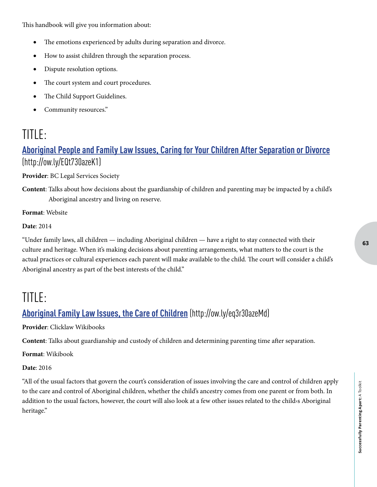This handbook will give you information about:

- The emotions experienced by adults during separation and divorce.
- How to assist children through the separation process.
- Dispute resolution options.
- The court system and court procedures.
- The Child Support Guidelines.
- Community resources."

# TITLE:

### **[Aboriginal People and Family Law Issues, Caring for Your Children After Separation or Divorce](http://familylaw.lss.bc.ca/resources/fact_sheets/Aboriginal_people_and_family_law_issues.php#caringForChildren)** (http://ow.ly/EQt730azeK1)

**Provider**: BC Legal Services Society

**Content**: Talks about how decisions about the guardianship of children and parenting may be impacted by a child's Aboriginal ancestry and living on reserve.

**Format**: Website

**Date**: 2014

"Under family laws, all children — including Aboriginal children — have a right to stay connected with their culture and heritage. When it's making decisions about parenting arrangements, what matters to the court is the actual practices or cultural experiences each parent will make available to the child. The court will consider a child's Aboriginal ancestry as part of the best interests of the child."

## TITLE:

## **[Aboriginal Family Law Issues, the Care of Children](http://wiki.clicklaw.bc.ca/index.php/Aboriginal_Family_Law_Issues#The_care_of_children)** (http://ow.ly/eq3r30azeMd)

**Provider**: Clicklaw Wikibooks

**Content**: Talks about guardianship and custody of children and determining parenting time afer separation.

**Format**: Wikibook

**Date**: 2016

"All of the usual factors that govern the court's consideration of issues involving the care and control of children apply to the care and control of Aboriginal children, whether the child's ancestry comes from one parent or from both. In addition to the usual factors, however, the court will also look at a few other issues related to the child›s Aboriginal heritage."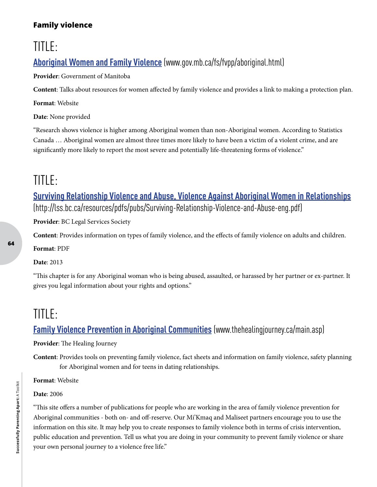### **Family violence**

# TITLE:

## **[Aboriginal Women and Family Violence](https://www.gov.mb.ca/fs/fvpp/aboriginal.html)** (www.gov.mb.ca/fs/fvpp/aboriginal.html)

### **Provider**: Government of Manitoba

**Content**: Talks about resources for women afected by family violence and provides a link to making a protection plan.

**Format**: Website

**Date**: None provided

"Research shows violence is higher among Aboriginal women than non-Aboriginal women. According to Statistics Canada … Aboriginal women are almost three times more likely to have been a victim of a violent crime, and are signifcantly more likely to report the most severe and potentially life-threatening forms of violence."

## TITLE:

### **[Surviving Relationship Violence and Abuse, Violence Against Aboriginal Women in Relationships](http://lss.bc.ca/resources/pdfs/pubs/Surviving-Relationship-Violence-and-Abuse-eng.pdf)** (http://lss.bc.ca/resources/pdfs/pubs/Surviving-Relationship-Violence-and-Abuse-eng.pdf)

**Provider**: BC Legal Services Society

**Content**: Provides information on types of family violence, and the efects of family violence on adults and children.

**Format**: PDF

#### **Date**: 2013

"This chapter is for any Aboriginal woman who is being abused, assaulted, or harassed by her partner or ex-partner. It gives you legal information about your rights and options."

## TITLE: **[Family Violence Prevention in Aboriginal Communities](http://www.thehealingjourney.ca/main.asp)** (www.thehealingjourney.ca/main.asp)

### **Provider:** The Healing Journey

**Content**: Provides tools on preventing family violence, fact sheets and information on family violence, safety planning for Aboriginal women and for teens in dating relationships.

### **Format**: Website

#### **Date**: 2006

"Tis site ofers a number of publications for people who are working in the area of family violence prevention for Aboriginal communities - both on- and off-reserve. Our Mi'Kmaq and Maliseet partners encourage you to use the information on this site. It may help you to create responses to family violence both in terms of crisis intervention, public education and prevention. Tell us what you are doing in your community to prevent family violence or share your own personal journey to a violence free life."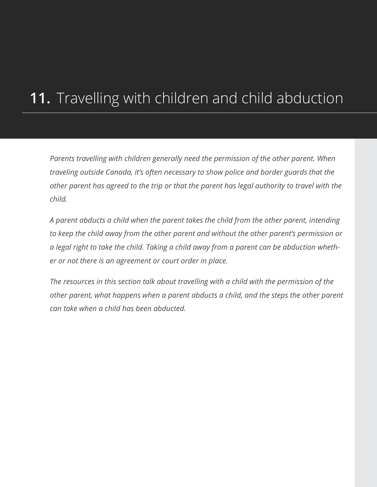# 11. Travelling with children and child abduction

Parents travelling with children generally need the permission of the other parent. When *traveling outside Canada, it's often necessary to show police and border guards that the other parent has agreed to the trip or that the parent has legal authority to travel with the child.*

*A parent abducts a child when the parent takes the child from the other parent, intending to keep the child away from the other parent and without the other parent's permission or a legal right to take the child. Taking a child away from a parent can be abduction whether or not there is an agreement or court order in place.*

*The resources in this section talk about travelling with a child with the permission of the other parent, what happens when a parent abducts a child, and the steps the other parent can take when a child has been abducted.*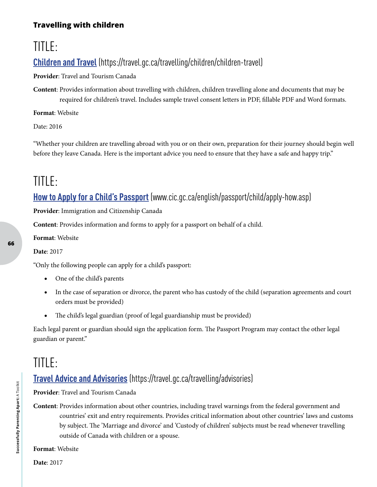### **Travelling with children**

# TITLE:

## **[Children and Travel](https://travel.gc.ca/travelling/children/children-travel)** (https://travel.gc.ca/travelling/children/children-travel)

**Provider**: Travel and Tourism Canada

**Content**: Provides information about travelling with children, children travelling alone and documents that may be required for children's travel. Includes sample travel consent letters in PDF, fllable PDF and Word formats.

**Format**: Website

Date: 2016

"Whether your children are travelling abroad with you or on their own, preparation for their journey should begin well before they leave Canada. Here is the important advice you need to ensure that they have a safe and happy trip."

## TITLE:

### **[How to Apply for a Child's Passport](http://www.cic.gc.ca/english/passport/child/apply-how.asp)** (www.cic.gc.ca/english/passport/child/apply-how.asp)

**Provider**: Immigration and Citizenship Canada

**Content**: Provides information and forms to apply for a passport on behalf of a child.

**Format**: Website

#### **Date**: 2017

"Only the following people can apply for a child's passport:

- One of the child's parents
- In the case of separation or divorce, the parent who has custody of the child (separation agreements and court orders must be provided)
- The child's legal guardian (proof of legal guardianship must be provided)

Each legal parent or guardian should sign the application form. The Passport Program may contact the other legal guardian or parent."

# TITLE:

**Successfully Parenting Apart:** A Toolkit

Successfully Parenting Apart: A Toolkit

## **[Travel Advice and Advisories](https://travel.gc.ca/travelling/advisories)** (https://travel.gc.ca/travelling/advisories)

**Provider**: Travel and Tourism Canada

**Content**: Provides information about other countries, including travel warnings from the federal government and countries' exit and entry requirements. Provides critical information about other countries' laws and customs by subject. The 'Marriage and divorce' and 'Custody of children' subjects must be read whenever travelling outside of Canada with children or a spouse.

**Format**: Website

**Date**: 2017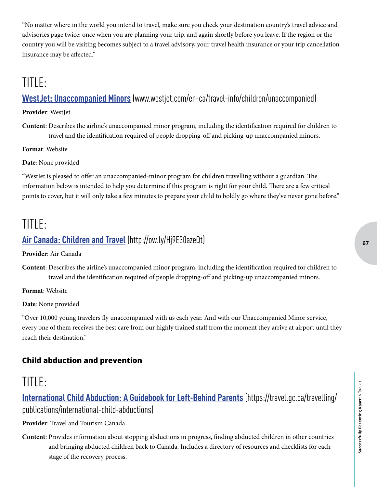"No matter where in the world you intend to travel, make sure you check your destination country's travel advice and advisories page twice: once when you are planning your trip, and again shortly before you leave. If the region or the country you will be visiting becomes subject to a travel advisory, your travel health insurance or your trip cancellation insurance may be afected."

# TITLE:

### **[WestJet: Unaccompanied Minors](https://www.westjet.com/en-ca/travel-info/children/unaccompanied)** (www.westjet.com/en-ca/travel-info/children/unaccompanied)

### **Provider**: WestJet

**Content**: Describes the airline's unaccompanied minor program, including the identifcation required for children to travel and the identifcation required of people dropping-of and picking-up unaccompanied minors.

**Format**: Website

**Date**: None provided

"WestJet is pleased to offer an unaccompanied-minor program for children travelling without a guardian. The information below is intended to help you determine if this program is right for your child. There are a few critical points to cover, but it will only take a few minutes to prepare your child to boldly go where they've never gone before."

# TITLE:

## **[Air Canada: Children and Travel](https://www.aircanada.com/ca/en/aco/home/plan/special-assistance/travelling-with-children.html)** (http://ow.ly/Hj9E30azeQt)

**Provider**: Air Canada

**Content**: Describes the airline's unaccompanied minor program, including the identifcation required for children to travel and the identifcation required of people dropping-of and picking-up unaccompanied minors.

**Format**: Website

**Date**: None provided

"Over 10,000 young travelers fy unaccompanied with us each year. And with our Unaccompanied Minor service, every one of them receives the best care from our highly trained staf from the moment they arrive at airport until they reach their destination."

### **Child abduction and prevention**

# $TITIF$

**[International Child Abduction: A Guidebook for Left-Behind Parents](https://travel.gc.ca/travelling/publications/international-child-abductions)** (https://travel.gc.ca/travelling/ publications/international-child-abductions)

**Provider**: Travel and Tourism Canada

**Content**: Provides information about stopping abductions in progress, fnding abducted children in other countries and bringing abducted children back to Canada. Includes a directory of resources and checklists for each stage of the recovery process.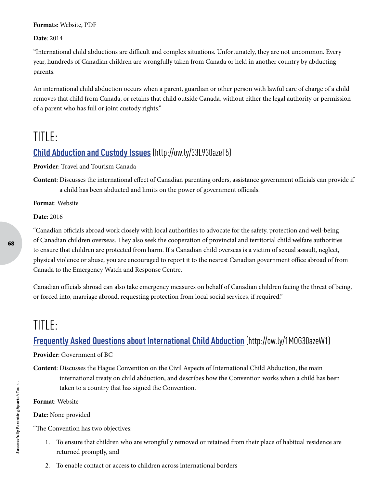#### **Formats**: Website, PDF

**Date**: 2014

"International child abductions are difcult and complex situations. Unfortunately, they are not uncommon. Every year, hundreds of Canadian children are wrongfully taken from Canada or held in another country by abducting parents.

An international child abduction occurs when a parent, guardian or other person with lawful care of charge of a child removes that child from Canada, or retains that child outside Canada, without either the legal authority or permission of a parent who has full or joint custody rights."

# TITLE: **[Child Abduction and Custody Issues](https://travel.gc.ca/assistance/emergency-info/child-abduction-welfare)** (http://ow.ly/33L930azeT5)

#### **Provider**: Travel and Tourism Canada

**Content**: Discusses the international effect of Canadian parenting orders, assistance government officials can provide if a child has been abducted and limits on the power of government officials.

#### **Format**: Website

#### **Date**: 2016

"Canadian officials abroad work closely with local authorities to advocate for the safety, protection and well-being of Canadian children overseas. They also seek the cooperation of provincial and territorial child welfare authorities to ensure that children are protected from harm. If a Canadian child overseas is a victim of sexual assault, neglect, physical violence or abuse, you are encouraged to report it to the nearest Canadian government office abroad of from Canada to the Emergency Watch and Response Centre.

Canadian officials abroad can also take emergency measures on behalf of Canadian children facing the threat of being, or forced into, marriage abroad, requesting protection from local social services, if required."

## TITLE: **[Frequently Asked Questions about International Child Abduction](http://www2.gov.bc.ca/gov/content/life-events/divorce/international-child-abduction/frequently-asked-questions)** (http://ow.ly/1MOG30azeW1)

#### **Provider**: Government of BC

**Content**: Discusses the Hague Convention on the Civil Aspects of International Child Abduction, the main international treaty on child abduction, and describes how the Convention works when a child has been taken to a country that has signed the Convention.

#### **Format**: Website

#### **Date**: None provided

"The Convention has two objectives:

- 1. To ensure that children who are wrongfully removed or retained from their place of habitual residence are returned promptly, and
- 2. To enable contact or access to children across international borders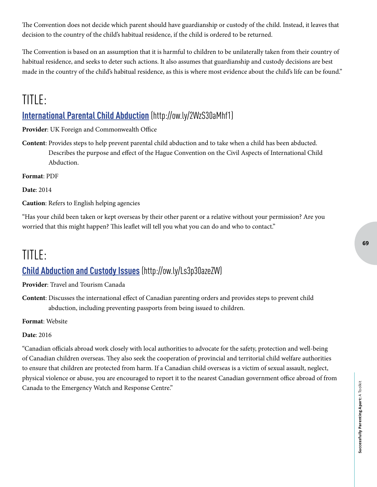The Convention does not decide which parent should have guardianship or custody of the child. Instead, it leaves that decision to the country of the child's habitual residence, if the child is ordered to be returned.

The Convention is based on an assumption that it is harmful to children to be unilaterally taken from their country of habitual residence, and seeks to deter such actions. It also assumes that guardianship and custody decisions are best made in the country of the child's habitual residence, as this is where most evidence about the child's life can be found."

## TITLE:

### **[International Parental Child Abduction](https://www.gov.uk/government/uploads/system/uploads/attachment_data/file/584038/Int_Child_Abduction_web_130117.pdf)** (http://ow.ly/2WzS30aMhf1)

Provider: UK Foreign and Commonwealth Office

**Content**: Provides steps to help prevent parental child abduction and to take when a child has been abducted. Describes the purpose and efect of the Hague Convention on the Civil Aspects of International Child Abduction.

**Format**: PDF

**Date**: 2014

**Caution**: Refers to English helping agencies

"Has your child been taken or kept overseas by their other parent or a relative without your permission? Are you worried that this might happen? This leaflet will tell you what you can do and who to contact."

## TITLE: **[Child Abduction and Custody Issues](https://travel.gc.ca/assistance/emergency-info/child-abduction-welfare)** (http://ow.ly/Ls3p30azeZW)

**Provider**: Travel and Tourism Canada

**Content**: Discusses the international efect of Canadian parenting orders and provides steps to prevent child abduction, including preventing passports from being issued to children.

**Format**: Website

#### **Date**: 2016

"Canadian officials abroad work closely with local authorities to advocate for the safety, protection and well-being of Canadian children overseas. Tey also seek the cooperation of provincial and territorial child welfare authorities to ensure that children are protected from harm. If a Canadian child overseas is a victim of sexual assault, neglect, physical violence or abuse, you are encouraged to report it to the nearest Canadian government office abroad of from Canada to the Emergency Watch and Response Centre."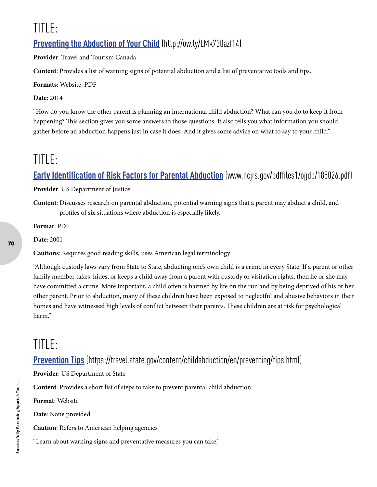# TITLE:

## **[Preventing the Abduction of Your Child](https://travel.gc.ca/travelling/publications/international-child-abductions#preventing)** (http://ow.ly/LMk730azf14)

**Provider**: Travel and Tourism Canada

**Content**: Provides a list of warning signs of potential abduction and a list of preventative tools and tips.

**Formats**: Website, PDF

**Date**: 2014

"How do you know the other parent is planning an international child abduction? What can you do to keep it from happening? This section gives you some answers to those questions. It also tells you what information you should gather before an abduction happens just in case it does. And it gives some advice on what to say to your child."

# TITLE:

## **Early Identification of Risk Factors for Parental Abduction** (www.ncjrs.gov/pdffiles1/ojjdp/185026.pdf)

**Provider**: US Department of Justice

**Content**: Discusses research on parental abduction, potential warning signs that a parent may abduct a child, and profles of six situations where abduction is especially likely.

**Format**: PDF

**Date**: 2001

**Cautions**: Requires good reading skills, uses American legal terminology

"Although custody laws vary from State to State, abducting one's own child is a crime in every State. If a parent or other family member takes, hides, or keeps a child away from a parent with custody or visitation rights, then he or she may have committed a crime. More important, a child ofen is harmed by life on the run and by being deprived of his or her other parent. Prior to abduction, many of these children have been exposed to neglectful and abusive behaviors in their homes and have witnessed high levels of conflict between their parents. These children are at risk for psychological harm."

# TITLE:

### **[Prevention Tips](https://travel.state.gov/content/childabduction/en/preventing/tips.html)** (https://travel.state.gov/content/childabduction/en/preventing/tips.html)

**Provider**: US Department of State

**Content**: Provides a short list of steps to take to prevent parental child abduction.

**Format**: Website

**Date**: None provided

**Caution**: Refers to American helping agencies

"Learn about warning signs and preventative measures you can take."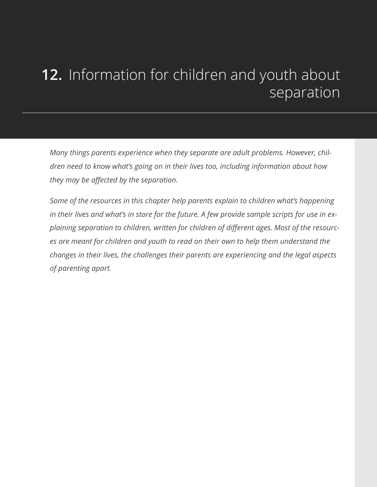# **12.** Information for children and youth about separation

*Many things parents experience when they separate are adult problems. However, children need to know what's going on in their lives too, including information about how they may be afected by the separation.*

*Some of the resources in this chapter help parents explain to children what's happening in their lives and what's in store for the future. A few provide sample scripts for use in explaining separation to children, written for children of diferent ages. Most of the resources are meant for children and youth to read on their own to help them understand the changes in their lives, the challenges their parents are experiencing and the legal aspects of parenting apart.*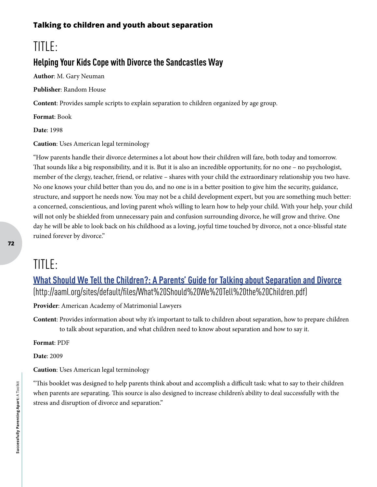### **Talking to children and youth about separation**

# TITLE:

### **Helping Your Kids Cope with Divorce the Sandcastles Way**

**Author**: M. Gary Neuman

**Publisher**: Random House

**Content**: Provides sample scripts to explain separation to children organized by age group.

**Format**: Book

**Date**: 1998

**Caution**: Uses American legal terminology

"How parents handle their divorce determines a lot about how their children will fare, both today and tomorrow. That sounds like a big responsibility, and it is. But it is also an incredible opportunity, for no one – no psychologist, member of the clergy, teacher, friend, or relative – shares with your child the extraordinary relationship you two have. No one knows your child better than you do, and no one is in a better position to give him the security, guidance, structure, and support he needs now. You may not be a child development expert, but you are something much better: a concerned, conscientious, and loving parent who's willing to learn how to help your child. With your help, your child will not only be shielded from unnecessary pain and confusion surrounding divorce, he will grow and thrive. One day he will be able to look back on his childhood as a loving, joyful time touched by divorce, not a once-blissful state ruined forever by divorce."

## TITLE:

### **[What Should We Tell the Children?: A Parents' Guide for Talking about Separation and Divorce](http://aaml.org/sites/default/files/What%20Should%20We%20Tell%20the%20Children.pdf)** (http://aaml.org/sites/default/fles/What%20Should%20We%20Tell%20the%20Children.pdf)

**Provider**: American Academy of Matrimonial Lawyers

**Content**: Provides information about why it's important to talk to children about separation, how to prepare children to talk about separation, and what children need to know about separation and how to say it.

**Format**: PDF

**Date**: 2009

**Caution**: Uses American legal terminology

"This booklet was designed to help parents think about and accomplish a difficult task: what to say to their children when parents are separating. This source is also designed to increase children's ability to deal successfully with the stress and disruption of divorce and separation."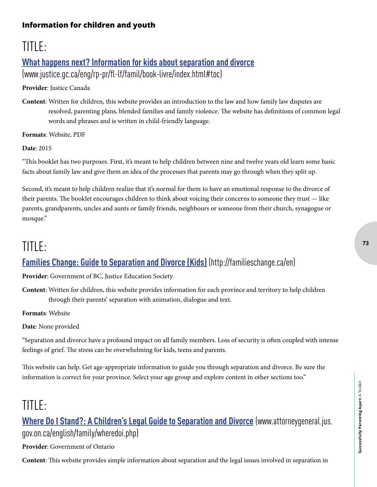### **Information for children and youth**

# TITLE:

### **[What happens next? Information for kids about separation and divorce](http://www.justice.gc.ca/eng/rp-pr/fl-lf/famil/book-livre/index.html#toc)**

(www.justice.gc.ca/eng/rp-pr/f-lf/famil/book-livre/index.html#toc)

**Provider**: Justice Canada

**Content**: Written for children, this website provides an introduction to the law and how family law disputes are resolved, parenting plans, blended families and family violence. The website has definitions of common legal words and phrases and is written in child-friendly language.

**Formats**: Website, PDF

**Date**: 2015

"Tis booklet has two purposes. First, it's meant to help children between nine and twelve years old learn some basic facts about family law and give them an idea of the processes that parents may go through when they split up.

Second, it's meant to help children realize that it's normal for them to have an emotional response to the divorce of their parents. The booklet encourages children to think about voicing their concerns to someone they trust — like parents, grandparents, uncles and aunts or family friends, neighbours or someone from their church, synagogue or mosque."

## TITLE:

## **[Families Change: Guide to Separation and Divorce \(Kids\)](http://familieschange.ca/en)** (http://familieschange.ca/en)

**Provider**: Government of BC, Justice Education Society

**Content**: Written for children, this website provides information for each province and territory to help children through their parents' separation with animation, dialogue and text.

**Formats**: Website

**Date**: None provided

"Separation and divorce have a profound impact on all family members. Loss of security is ofen coupled with intense feelings of grief. The stress can be overwhelming for kids, teens and parents.

Tis website can help. Get age-appropriate information to guide you through separation and divorce. Be sure the information is correct for your province. Select your age group and explore content in other sections too."

## TITLE:

**[Where Do I Stand?: A Children's Legal Guide to Separation and Divorce](https://www.attorneygeneral.jus.gov.on.ca/english/family/wheredoi.php)** (www.attorneygeneral.jus. gov.on.ca/english/family/wheredoi.php)

**Provider**: Government of Ontario

**Content:** This website provides simple information about separation and the legal issues involved in separation in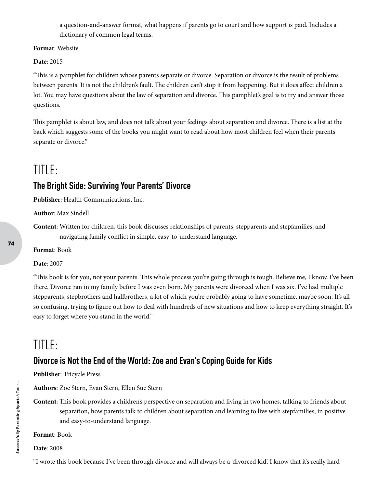a question-and-answer format, what happens if parents go to court and how support is paid. Includes a dictionary of common legal terms.

#### **Format**: Website

#### **Date**: 2015

"This is a pamphlet for children whose parents separate or divorce. Separation or divorce is the result of problems between parents. It is not the children's fault. The children can't stop it from happening. But it does affect children a lot. You may have questions about the law of separation and divorce. This pamphlet's goal is to try and answer those questions.

This pamphlet is about law, and does not talk about your feelings about separation and divorce. There is a list at the back which suggests some of the books you might want to read about how most children feel when their parents separate or divorce."

# TITLE:

### **The Bright Side: Surviving Your Parents' Divorce**

**Publisher**: Health Communications, Inc.

**Author**: Max Sindell

**Content**: Written for children, this book discusses relationships of parents, stepparents and stepfamilies, and navigating family confict in simple, easy-to-understand language.

**Format**: Book

#### **Date**: 2007

"This book is for you, not your parents. This whole process you're going through is tough. Believe me, I know. I've been there. Divorce ran in my family before I was even born. My parents were divorced when I was six. I've had multiple stepparents, stepbrothers and halfrothers, a lot of which you're probably going to have sometime, maybe soon. It's all so confusing, trying to fgure out how to deal with hundreds of new situations and how to keep everything straight. It's easy to forget where you stand in the world."

# TITLE:

### **Divorce is Not the End of the World: Zoe and Evan's Coping Guide for Kids**

**Publisher**: Tricycle Press

**Authors**: Zoe Stern, Evan Stern, Ellen Sue Stern

**Content**: This book provides a children's perspective on separation and living in two homes, talking to friends about separation, how parents talk to children about separation and learning to live with stepfamilies, in positive and easy-to-understand language.

#### **Format**: Book

#### **Date**: 2008

"I wrote this book because I've been through divorce and will always be a 'divorced kid'. I know that it's really hard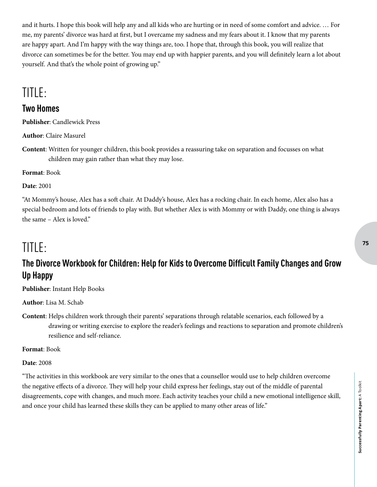and it hurts. I hope this book will help any and all kids who are hurting or in need of some comfort and advice. … For me, my parents' divorce was hard at frst, but I overcame my sadness and my fears about it. I know that my parents are happy apart. And I'm happy with the way things are, too. I hope that, through this book, you will realize that divorce can sometimes be for the better. You may end up with happier parents, and you will defnitely learn a lot about yourself. And that's the whole point of growing up."

# TITLE:

### **Two Homes**

**Publisher**: Candlewick Press

**Author**: Claire Masurel

**Content**: Written for younger children, this book provides a reassuring take on separation and focusses on what children may gain rather than what they may lose.

**Format**: Book

**Date**: 2001

"At Mommy's house, Alex has a sof chair. At Daddy's house, Alex has a rocking chair. In each home, Alex also has a special bedroom and lots of friends to play with. But whether Alex is with Mommy or with Daddy, one thing is always the same – Alex is loved."

# TITLE:

### **The Divorce Workbook for Children: Help for Kids to Overcome Diffcult Family Changes and Grow Up Happy**

**Publisher**: Instant Help Books

**Author**: Lisa M. Schab

**Content**: Helps children work through their parents' separations through relatable scenarios, each followed by a drawing or writing exercise to explore the reader's feelings and reactions to separation and promote children's resilience and self-reliance.

**Format**: Book

**Date**: 2008

"Te activities in this workbook are very similar to the ones that a counsellor would use to help children overcome the negative effects of a divorce. They will help your child express her feelings, stay out of the middle of parental disagreements, cope with changes, and much more. Each activity teaches your child a new emotional intelligence skill, and once your child has learned these skills they can be applied to many other areas of life."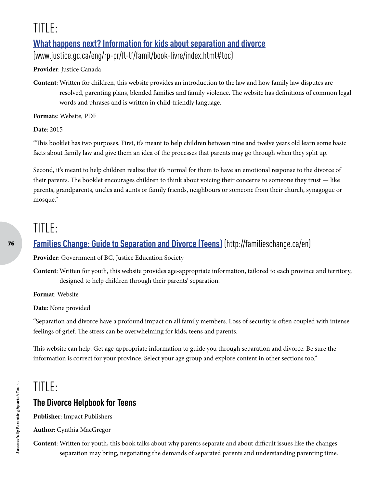# TITLE:

### **[What happens next? Information for kids about separation and divorce](http://www.justice.gc.ca/eng/rp-pr/fl-lf/famil/book-livre/index.html#toc)**

(www.justice.gc.ca/eng/rp-pr/f-lf/famil/book-livre/index.html#toc)

**Provider**: Justice Canada

**Content**: Written for children, this website provides an introduction to the law and how family law disputes are resolved, parenting plans, blended families and family violence. The website has definitions of common legal words and phrases and is written in child-friendly language.

**Formats**: Website, PDF

**Date**: 2015

"Tis booklet has two purposes. First, it's meant to help children between nine and twelve years old learn some basic facts about family law and give them an idea of the processes that parents may go through when they split up.

Second, it's meant to help children realize that it's normal for them to have an emotional response to the divorce of their parents. The booklet encourages children to think about voicing their concerns to someone they trust — like parents, grandparents, uncles and aunts or family friends, neighbours or someone from their church, synagogue or mosque."

## TITLE:

## **[Families Change: Guide to Separation and Divorce \(Teens\)](http://familieschange.ca/en)** (http://familieschange.ca/en)

**Provider**: Government of BC, Justice Education Society

**Content**: Written for youth, this website provides age-appropriate information, tailored to each province and territory, designed to help children through their parents' separation.

**Format**: Website

**Date**: None provided

"Separation and divorce have a profound impact on all family members. Loss of security is ofen coupled with intense feelings of grief. The stress can be overwhelming for kids, teens and parents.

Tis website can help. Get age-appropriate information to guide you through separation and divorce. Be sure the information is correct for your province. Select your age group and explore content in other sections too."

# TITLE:

### **The Divorce Helpbook for Teens**

**Publisher**: Impact Publishers

**Author**: Cynthia MacGregor

Content: Written for youth, this book talks about why parents separate and about difficult issues like the changes separation may bring, negotiating the demands of separated parents and understanding parenting time.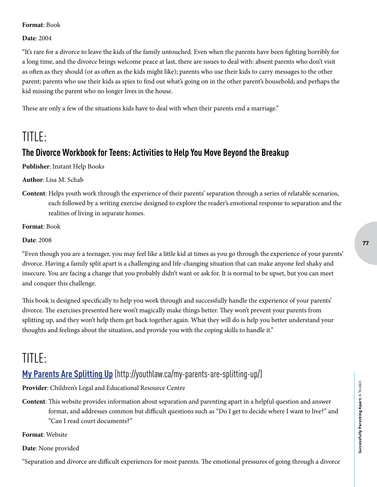#### **Format**: Book

**Date**: 2004

"It's rare for a divorce to leave the kids of the family untouched. Even when the parents have been fghting horribly for a long time, and the divorce brings welcome peace at last, there are issues to deal with: absent parents who don't visit as ofen as they should (or as ofen as the kids might like); parents who use their kids to carry messages to the other parent; parents who use their kids as spies to fnd out what's going on in the other parent's household; and perhaps the kid missing the parent who no longer lives in the house.

These are only a few of the situations kids have to deal with when their parents end a marriage."

## TITLE: **The Divorce Workbook for Teens: Activities to Help You Move Beyond the Breakup**

**Publisher**: Instant Help Books

**Author**: Lisa M. Schab

**Content**: Helps youth work through the experience of their parents' separation through a series of relatable scenarios, each followed by a writing exercise designed to explore the reader's emotional response to separation and the realities of living in separate homes.

**Format**: Book

**Date**: 2008

"Even though you are a teenager, you may feel like a little kid at times as you go through the experience of your parents' divorce. Having a family split apart is a challenging and life-changing situation that can make anyone feel shaky and insecure. You are facing a change that you probably didn't want or ask for. It is normal to be upset, but you can meet and conquer this challenge.

Tis book is designed specifcally to help you work through and successfully handle the experience of your parents' divorce. The exercises presented here won't magically make things better. They won't prevent your parents from splitting up, and they won't help them get back together again. What they will do is help you better understand your thoughts and feelings about the situation, and provide you with the coping skills to handle it."

# TITLE:

## **[My Parents Are Splitting Up](http://youthlaw.ca/my-parents-are-splitting-up/)** (http://youthlaw.ca/my-parents-are-splitting-up/)

**Provider**: Children's Legal and Educational Resource Centre

**Content**: This website provides information about separation and parenting apart in a helpful question and answer format, and addresses common but difficult questions such as "Do I get to decide where I want to live?" and "Can I read court documents?"

#### **Format**: Website

**Date**: None provided

"Separation and divorce are difficult experiences for most parents. The emotional pressures of going through a divorce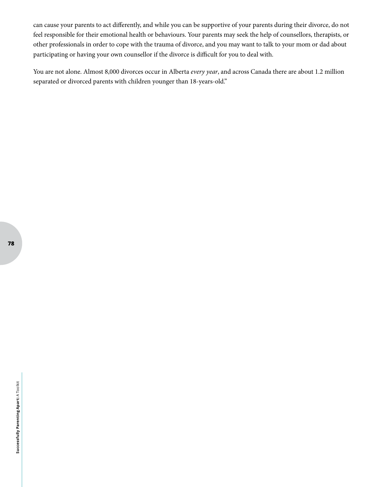can cause your parents to act diferently, and while you can be supportive of your parents during their divorce, do not feel responsible for their emotional health or behaviours. Your parents may seek the help of counsellors, therapists, or other professionals in order to cope with the trauma of divorce, and you may want to talk to your mom or dad about participating or having your own counsellor if the divorce is difficult for you to deal with.

You are not alone. Almost 8,000 divorces occur in Alberta *every year*, and across Canada there are about 1.2 million separated or divorced parents with children younger than 18-years-old."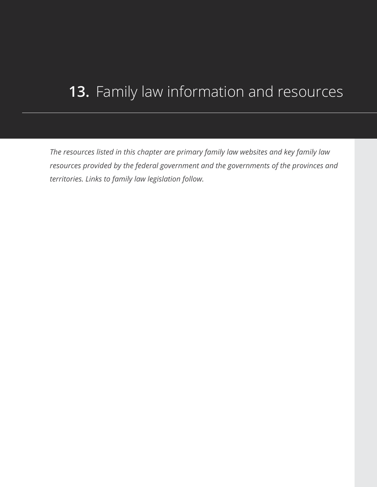# **13.** Family law information and resources

*The resources listed in this chapter are primary family law websites and key family law resources provided by the federal government and the governments of the provinces and territories. Links to family law legislation follow.*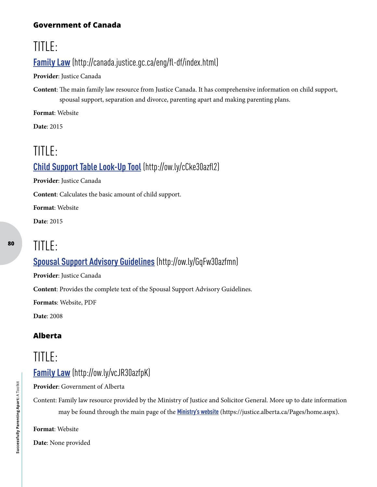### **Government of Canada**

# TITLE:

## **[Family Law](http://canada.justice.gc.ca/eng/fl-df/index.html)** (http://canada.justice.gc.ca/eng/fl-df/index.html)

**Provider**: Justice Canada

**Content**: The main family law resource from Justice Canada. It has comprehensive information on child support, spousal support, separation and divorce, parenting apart and making parenting plans.

**Format**: Website

**Date**: 2015

# TITLE: **[Child Support Table Look-Up Tool](http://canada.justice.gc.ca/eng/fl-df/child-enfant/look-rech.asp)** (http://ow.ly/cCke30azf2)

**Provider**: Justice Canada

**Content**: Calculates the basic amount of child support.

**Format**: Website

**Date**: 2015

## TITLE:

### **[Spousal Support Advisory Guidelines](http://canada.justice.gc.ca/eng/rp-pr/fl-lf/spousal-epoux/spag/index.html)** (http://ow.ly/GqFw30azfmn)

**Provider**: Justice Canada

**Content**: Provides the complete text of the Spousal Support Advisory Guidelines.

**Formats**: Website, PDF

**Date**: 2008

### **Alberta**

## TITLE:

### **[Family Law](https://justice.alberta.ca/programs_services/public_education/Pages/family_law.aspx)** (http://ow.ly/vcJR30azfpK)

**Provider**: Government of Alberta

Content: Family law resource provided by the Ministry of Justice and Solicitor General. More up to date information may be found through the main page of the **[Ministry's website](https://justice.alberta.ca/Pages/home.aspx)** (https://justice.alberta.ca/Pages/home.aspx).

**Format**: Website

**Date**: None provided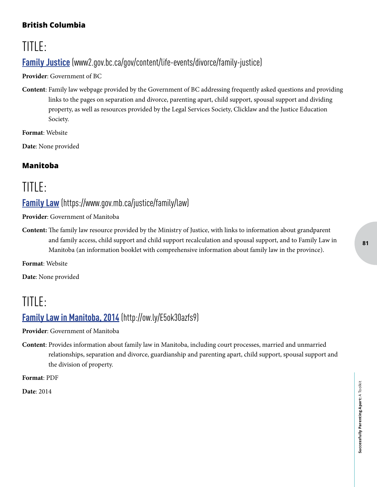### **British Columbia**

# TITLE:

## **[Family Justice](http://www2.gov.bc.ca/gov/content/life-events/divorce/family-justice)** (www2.gov.bc.ca/gov/content/life-events/divorce/family-justice)

**Provider**: Government of BC

**Content**: Family law webpage provided by the Government of BC addressing frequently asked questions and providing links to the pages on separation and divorce, parenting apart, child support, spousal support and dividing property, as well as resources provided by the Legal Services Society, Clicklaw and the Justice Education Society.

**Format**: Website

**Date**: None provided

### **Manitoba**

# TITLE:

## **[Family Law](https://www.gov.mb.ca/justice/family/law)** (https://www.gov.mb.ca/justice/family/law)

**Provider**: Government of Manitoba

Content: The family law resource provided by the Ministry of Justice, with links to information about grandparent and family access, child support and child support recalculation and spousal support, and to Family Law in Manitoba (an information booklet with comprehensive information about family law in the province).

**Format**: Website

**Date**: None provided

# TITLE:

### **[Family Law in Manitoba, 2014](http://www.gov.mb.ca/justice/family/law/pubs/familylawbooklet2014.pdf)** (http://ow.ly/E5ok30azfs9)

**Provider**: Government of Manitoba

**Content**: Provides information about family law in Manitoba, including court processes, married and unmarried relationships, separation and divorce, guardianship and parenting apart, child support, spousal support and the division of property.

**Format**: PDF

**Date**: 2014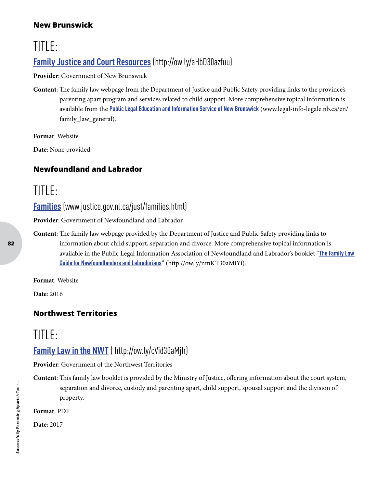### **New Brunswick**

# TITLE:

### **[Family Justice and Court Resources](http://www2.gnb.ca/content/gnb/en/departments/jps/justice/content/fjcr.html)** (http://ow.ly/aHbD30azfuu)

**Provider**: Government of New Brunswick

Content: The family law webpage from the Department of Justice and Public Safety providing links to the province's parenting apart program and services related to child support. More comprehensive topical information is available from the **[Public Legal Education and Information Service of New Brunswick](http://www.legal-info-legale.nb.ca/en/family_law_general)** (www.legal-info-legale.nb.ca/en/ family\_law\_general).

**Format**: Website

**Date**: None provided

### **Newfoundland and Labrador**

# TITLE:

### **[Families](http://www.justice.gov.nl.ca/just/families.html)** (www.justice.gov.nl.ca/just/families.html)

**Provider**: Government of Newfoundland and Labrador

Content: The family law webpage provided by the Department of Justice and Public Safety providing links to information about child support, separation and divorce. More comprehensive topical information is available in the Public Legal Information Association of Newfoundland and Labrador's booklet "**[The Family Law](http://publiclegalinfo.com/wp-content/uploads/2013/08/Family-Law-Guide.pdf)  [Guide for Newfoundlanders and Labradorians](http://publiclegalinfo.com/wp-content/uploads/2013/08/Family-Law-Guide.pdf)**" (http://ow.ly/nmKT30aMiYi).

**Format**: Website

**Date**: 2016

### **Northwest Territories**

## TITLE:

### **[Family Law in the NWT](https://www.justice.gov.nt.ca/en/files/family-law-guide/Family%20Law%20Guide%202017.pdf)** ( http://ow.ly/cVid30aMjIr)

**Provider**: Government of the Northwest Territories

**Content**: This family law booklet is provided by the Ministry of Justice, offering information about the court system, separation and divorce, custody and parenting apart, child support, spousal support and the division of property.

**Format**: PDF

**Date**: 2017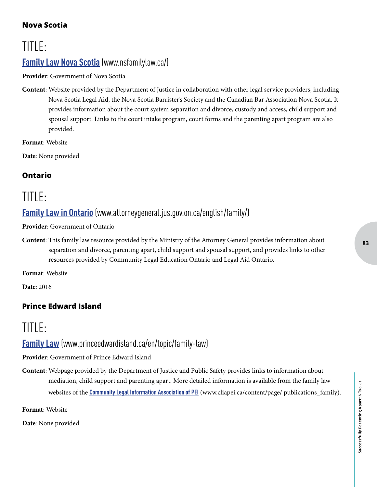### **Nova Scotia**

# TITLE:

## **[Family Law Nova Scotia](http://www.nsfamilylaw.ca/)** (www.nsfamilylaw.ca/)

**Provider**: Government of Nova Scotia

**Content**: Website provided by the Department of Justice in collaboration with other legal service providers, including Nova Scotia Legal Aid, the Nova Scotia Barrister's Society and the Canadian Bar Association Nova Scotia. It provides information about the court system separation and divorce, custody and access, child support and spousal support. Links to the court intake program, court forms and the parenting apart program are also provided.

**Format**: Website

**Date**: None provided

### **Ontario**

# TITLE:

### **[Family Law in Ontario](https://www.attorneygeneral.jus.gov.on.ca/english/family/)** (www.attorneygeneral.jus.gov.on.ca/english/family/)

**Provider**: Government of Ontario

Content: This family law resource provided by the Ministry of the Attorney General provides information about separation and divorce, parenting apart, child support and spousal support, and provides links to other resources provided by Community Legal Education Ontario and Legal Aid Ontario.

**Format**: Website

**Date**: 2016

### **Prince Edward Island**

# TITLE:

**[Family Law](https://www.princeedwardisland.ca/en/topic/family-law)** (www.princeedwardisland.ca/en/topic/family-law)

**Provider**: Government of Prince Edward Island

**Content**: Webpage provided by the Department of Justice and Public Safety provides links to information about mediation, child support and parenting apart. More detailed information is available from the family law websites of the **[Community Legal Information Association of PEI](http://www.cliapei.ca/content/page/%20publications_family)** (www.cliapei.ca/content/page/ publications\_family).

**Format**: Website

**Date**: None provided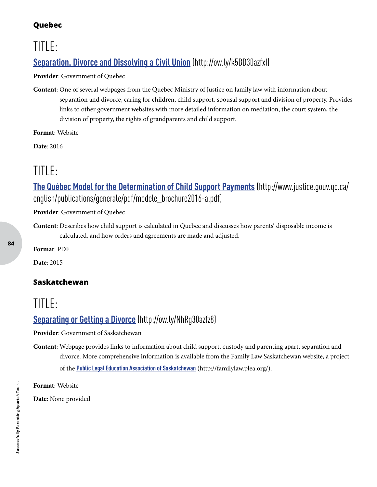### **Quebec**

# TITLE:

## **[Separation, Divorce and Dissolving a Civil Union](http://www.justice.gouv.qc.ca/english/publications/generale/sep-div-a.htm)** (http://ow.ly/k5BD30azfxI)

**Provider**: Government of Quebec

**Content**: One of several webpages from the Quebec Ministry of Justice on family law with information about separation and divorce, caring for children, child support, spousal support and division of property. Provides links to other government websites with more detailed information on mediation, the court system, the division of property, the rights of grandparents and child support.

**Format**: Website

**Date**: 2016

# TITLE:

**[The Québec Model for the Determination of Child Support Payments](http://www.justice.gouv.qc.ca/english/publications/generale/pdf/modele_brochure2016-a.pdf)** (http://www.justice.gouv.qc.ca/ english/publications/generale/pdf/modele\_brochure2016-a.pdf)

**Provider**: Government of Quebec

**Content**: Describes how child support is calculated in Quebec and discusses how parents' disposable income is calculated, and how orders and agreements are made and adjusted.

**Format**: PDF

**Date**: 2015

### **Saskatchewan**

## TITLE:

### **[Separating or Getting a Divorce](http://www.saskatchewan.ca/residents/births-deaths-marriages-and-divorces/separation-or-divorce)** (http://ow.ly/NhRg30azfz8)

**Provider**: Government of Saskatchewan

**Content**: Webpage provides links to information about child support, custody and parenting apart, separation and divorce. More comprehensive information is available from the Family Law Saskatchewan website, a project of the **[Public Legal Education Association of Saskatchewan](http://familylaw.plea.org/)** (http://familylaw.plea.org/).

**Format**: Website

**Date**: None provided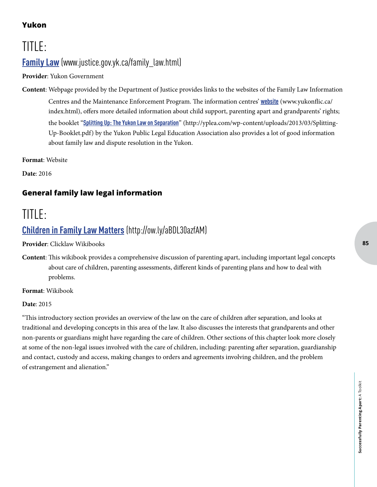### **Yukon**

# TITLE: **[Family Law](http://www.justice.gov.yk.ca/family_law.html)** (www.justice.gov.yk.ca/family\_law.html)

**Provider**: Yukon Government

**Content**: Webpage provided by the Department of Justice provides links to the websites of the Family Law Information Centres and the Maintenance Enforcement Program. The information centres' **[website](http://www.yukonflic.ca/index.html)** (www.yukonflic.ca/ index.html), offers more detailed information about child support, parenting apart and grandparents' rights; the booklet "**[Splitting Up: The Yukon Law on Separation](http://yplea.com/wp-content/uploads/2013/03/Splitting-Up-Booklet.pdf)**" (http://yplea.com/wp-content/uploads/2013/03/Splitting-Up-Booklet.pdf) by the Yukon Public Legal Education Association also provides a lot of good information about family law and dispute resolution in the Yukon.

**Format**: Website

**Date**: 2016

### **General family law legal information**

# TITLE:

### **[Children in Family Law Matters](http://wiki.clicklaw.bc.ca/index.php?title=Children_in_Family_Law_Matters)** (http://ow.ly/aBDL30azfAM)

**Provider**: Clicklaw Wikibooks

**Content**: Tis wikibook provides a comprehensive discussion of parenting apart, including important legal concepts about care of children, parenting assessments, diferent kinds of parenting plans and how to deal with problems.

**Format**: Wikibook

#### **Date**: 2015

"This introductory section provides an overview of the law on the care of children after separation, and looks at traditional and developing concepts in this area of the law. It also discusses the interests that grandparents and other non-parents or guardians might have regarding the care of children. Other sections of this chapter look more closely at some of the non-legal issues involved with the care of children, including: parenting afer separation, guardianship and contact, custody and access, making changes to orders and agreements involving children, and the problem of estrangement and alienation."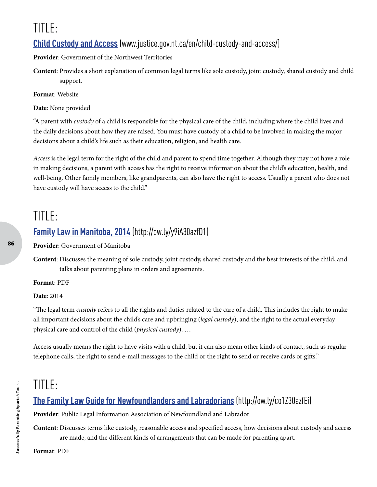# TITLE:

### **[Child Custody and Access](https://www.justice.gov.nt.ca/en/child-custody-and-access/)** (www.justice.gov.nt.ca/en/child-custody-and-access/)

**Provider**: Government of the Northwest Territories

**Content**: Provides a short explanation of common legal terms like sole custody, joint custody, shared custody and child support.

#### **Format**: Website

**Date**: None provided

"A parent with *custody* of a child is responsible for the physical care of the child, including where the child lives and the daily decisions about how they are raised. You must have custody of a child to be involved in making the major decisions about a child's life such as their education, religion, and health care.

*Access* is the legal term for the right of the child and parent to spend time together. Although they may not have a role in making decisions, a parent with access has the right to receive information about the child's education, health, and well-being. Other family members, like grandparents, can also have the right to access. Usually a parent who does not have custody will have access to the child."

## TITLE: **[Family Law in Manitoba, 2014](http://www.gov.mb.ca/justice/family/law/pubs/familylawbooklet2014.pdf)** (http://ow.ly/y9iA30azfD1)

**Provider**: Government of Manitoba

**Content**: Discusses the meaning of sole custody, joint custody, shared custody and the best interests of the child, and talks about parenting plans in orders and agreements.

**Format**: PDF

**Date**: 2014

"The legal term *custody* refers to all the rights and duties related to the care of a child. This includes the right to make all important decisions about the child's care and upbringing (*legal custody*), and the right to the actual everyday physical care and control of the child (*physical custody*). …

Access usually means the right to have visits with a child, but it can also mean other kinds of contact, such as regular telephone calls, the right to send e-mail messages to the child or the right to send or receive cards or gifs."

# TITLE:

### **[The Family Law Guide for Newfoundlanders and Labradorians](http://publiclegalinfo.com/wp-content/uploads/2013/08/Family-Law-Guide.pdf)** (http://ow.ly/co1Z30azfEi)

**Provider**: Public Legal Information Association of Newfoundland and Labrador

**Content**: Discusses terms like custody, reasonable access and specifed access, how decisions about custody and access are made, and the diferent kinds of arrangements that can be made for parenting apart.

**Format**: PDF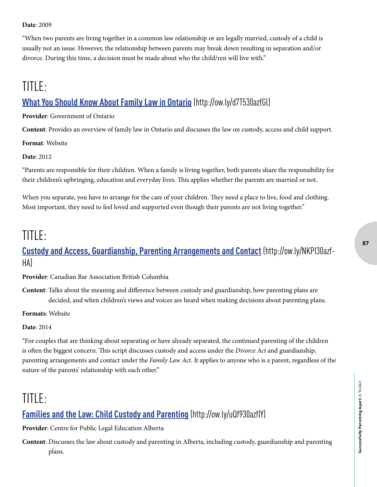#### **Date**: 2009

"When two parents are living together in a common law relationship or are legally married, custody of a child is usually not an issue. However, the relationship between parents may break down resulting in separation and/or divorce. During this time, a decision must be made about who the child/ren will live with."

## TITLE: **[What You Should Know About Family Law in Ontario](https://www.attorneygeneral.jus.gov.on.ca/english/family/familyla.html)** (http://ow.ly/d7T530azfGl)

**Provider**: Government of Ontario

**Content**: Provides an overview of family law in Ontario and discusses the law on custody, access and child support.

**Format**: Website

**Date**: 2012

"Parents are responsible for their children. When a family is living together, both parents share the responsibility for their children's upbringing, education and everyday lives. Tis applies whether the parents are married or not.

When you separate, you have to arrange for the care of your children. They need a place to live, food and clothing. Most important, they need to feel loved and supported even though their parents are not living together."

# TITLE:

### **[Custody and Access, Guardianship, Parenting Arrangements and Contact](http://www.cbabc.org/For-the-Public/Dial-A-Law/Scripts/Family-Law/142)** (http://ow.ly/NKPI30azf-HA)

**Provider**: Canadian Bar Association British Columbia

**Content**: Talks about the meaning and diference between custody and guardianship, how parenting plans are decided, and when children's views and voices are heard when making decisions about parenting plans.

**Formats**: Website

**Date**: 2014

"For couples that are thinking about separating or have already separated, the continued parenting of the children is ofen the biggest concern. Tis script discusses custody and access under the *Divorce Act* and guardianship, parenting arrangements and contact under the *Family Law Act*. It applies to anyone who is a parent, regardless of the nature of the parents' relationship with each other."

## TITLE:

### **[Families and the Law: Child Custody and Parenting](http://www.cplea.ca/wp-content/uploads/2015/12/ChildCustodyandParenting.pdf)** (http://ow.ly/uQf930azfIY)

**Provider**: Centre for Public Legal Education Alberta

**Content**: Discusses the law about custody and parenting in Alberta, including custody, guardianship and parenting plans.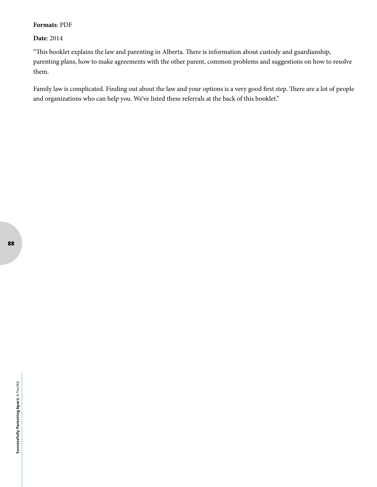#### **Formats**: PDF

**Date**: 2014

"This booklet explains the law and parenting in Alberta. There is information about custody and guardianship, parenting plans, how to make agreements with the other parent, common problems and suggestions on how to resolve them.

Family law is complicated. Finding out about the law and your options is a very good first step. There are a lot of people and organizations who can help you. We've listed these referrals at the back of this booklet."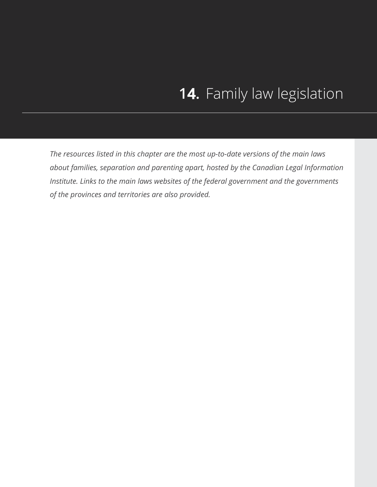# 14. Family law legislation

*The resources listed in this chapter are the most up-to-date versions of the main laws about families, separation and parenting apart, hosted by the Canadian Legal Information Institute. Links to the main laws websites of the federal government and the governments of the provinces and territories are also provided.*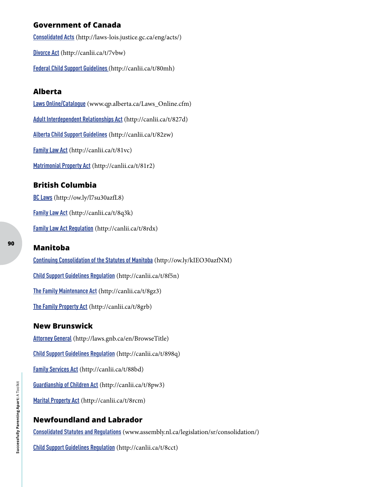#### **Government of Canada**

**[Consolidated Acts](http://laws-lois.justice.gc.ca/eng/acts/)** (http://laws-lois.justice.gc.ca/eng/acts/) **[Divorce Act](http://canlii.ca/t/7vbw)** (http://canlii.ca/t/7vbw) **[Federal Child Support Guidelines](http://canlii.ca/t/80mh)**(http://canlii.ca/t/80mh)

### **Alberta**

**[Laws Online/Catalogue](http://www.qp.alberta.ca/Laws_Online.cfm)** (www.qp.alberta.ca/Laws\_Online.cfm) **[Adult Interdependent Relationships Act](http://canlii.ca/t/827d)** (http://canlii.ca/t/827d) **[Alberta Child Support Guidelines](http://canlii.ca/t/82zw)** (http://canlii.ca/t/82zw) **[Family Law Act](http://canlii.ca/t/81vc)** (http://canlii.ca/t/81vc) **[Matrimonial Property Act](http://canlii.ca/t/81r2)** (http://canlii.ca/t/81r2) **British Columbia**

**[BC Laws](http://www.bclaws.ca/civix/content/complete/statreg/?xsl=/templates/browse.xsl)** (http://ow.ly/l7su30azfL8)

**[Family Law Act](http://canlii.ca/t/8q3k)** (http://canlii.ca/t/8q3k)

**[Family Law Act Regulation](http://canlii.ca/t/8rdx)** (http://canlii.ca/t/8rdx)

**90**

**[Continuing Consolidation of the Statutes of Manitoba](http://web2.gov.mb.ca/laws/statutes/index_ccsm.php)** (http://ow.ly/kIEO30azfNM) **[Child Support Guidelines Regulation](http://canlii.ca/t/8f5n)** (http://canlii.ca/t/8f5n) **[The Family Maintenance Act](http://canlii.ca/t/8gz3)** (http://canlii.ca/t/8gz3) **[The Family Property Act](http://canlii.ca/t/8grb)** (http://canlii.ca/t/8grb) **New Brunswick [Attorney General](http://laws.gnb.ca/en/BrowseTitle)** (http://laws.gnb.ca/en/BrowseTitle) **[Child Support Guidelines Regulation](http://canlii.ca/t/898q)** (http://canlii.ca/t/898q)

**[Family Services Act](http://canlii.ca/t/88bd)** (http://canlii.ca/t/88bd)

**[Guardianship of Children Act](http://canlii.ca/t/8pw3)** (http://canlii.ca/t/8pw3)

**[Marital Property Act](http://canlii.ca/t/8rcm)** (http://canlii.ca/t/8rcm)

### **Newfoundland and Labrador**

**[Consolidated Statutes and Regulations](http://www.assembly.nl.ca/legislation/sr/consolidation/)** (www.assembly.nl.ca/legislation/sr/consolidation/)

**[Child Support Guidelines Regulation](http://canlii.ca/t/8cct)** (http://canlii.ca/t/8cct)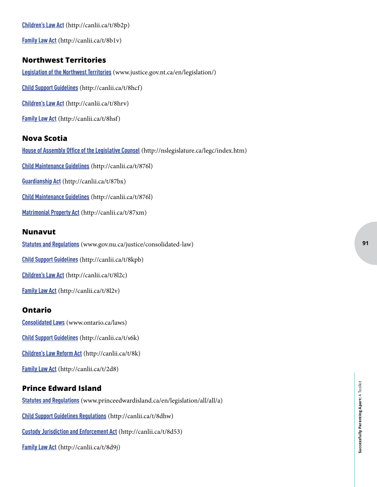**[Children's Law Act](http://canlii.ca/t/8b2p)** (http://canlii.ca/t/8b2p)

**[Family Law Act](http://canlii.ca/t/8b1v)** (http://canlii.ca/t/8b1v)

### **Northwest Territories**

**[Legislation of the Northwest Territories](https://www.justice.gov.nt.ca/en/legislation/)** (www.justice.gov.nt.ca/en/legislation/) **[Child Support Guidelines](http://canlii.ca/t/8hcf)** (http://canlii.ca/t/8hcf) **[Children's Law Act](http://canlii.ca/t/8hrv)** (http://canlii.ca/t/8hrv) **[Family Law Act](http://canlii.ca/t/8hsf)** (http://canlii.ca/t/8hsf)

#### **Nova Scotia**

**[House of Assembly Offce of the Legislative Counsel](http://nslegislature.ca/legc/index.htm)** (http://nslegislature.ca/legc/index.htm) **[Child Maintenance Guidelines](http://canlii.ca/t/876l)** (http://canlii.ca/t/876l) **[Guardianship Act](http://canlii.ca/t/87bx)** (http://canlii.ca/t/87bx) **Child [Maintenance](http://canlii.ca/t/876l) Guidelines** (http://canlii.ca/t/876l) **[Matrimonial Property Act](http://canlii.ca/t/87xm)** (http://canlii.ca/t/87xm)

#### **Nunavut**

**[Statutes and Regulations](http://www.gov.nu.ca/justice/consolidated-law)** (www.gov.nu.ca/justice/consolidated-law)

**[Child Support Guidelines](http://canlii.ca/t/8kpb)** (http://canlii.ca/t/8kpb)

**[Children's Law Act](http://canlii.ca/t/8l2c)** (http://canlii.ca/t/8l2c)

**[Family Law Act](http://canlii.ca/t/8l2v)** (http://canlii.ca/t/8l2v)

#### **Ontario**

**[Consolidated Laws](https://www.ontario.ca/laws)** (www.ontario.ca/laws)

**[Child Support Guidelines](http://canlii.ca/t/s6k)** (http://canlii.ca/t/s6k)

**[Children's Law Reform Act](http://canlii.ca/t/8k)** (http://canlii.ca/t/8k)

**[Family Law Act](http://canlii.ca/t/2d8)** (http://canlii.ca/t/2d8)

#### **Prince Edward Island**

**[Statutes and Regulations](https://www.princeedwardisland.ca/en/legislation/all/all/a)** (www.princeedwardisland.ca/en/legislation/all/all/a)

**[Child Support Guidelines Regulations](http://canlii.ca/t/8dhw)** (http://canlii.ca/t/8dhw)

**[Custody Jurisdiction and Enforcement Act](http://canlii.ca/t/8d53)** (http://canlii.ca/t/8d53)

**[Family Law Act](http://canlii.ca/t/8d9j)** (http://canlii.ca/t/8d9j)

**91**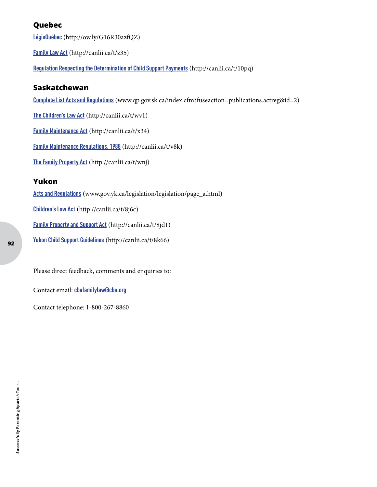### **Quebec**

**[LégisQuébec](http://legisquebec.gouv.qc.ca/en/BrowseChapter?corpus=statutes)** (http://ow.ly/G16R30azfQZ)

**[Family Law Act](http://canlii.ca/t/z35)** (http://canlii.ca/t/z35)

**[Regulation Respecting the Determination of Child Support Payments](http://canlii.ca/t/10pq)** (http://canlii.ca/t/10pq)

#### **Saskatchewan**

**[Complete List Acts and Regulations](http://www.qp.gov.sk.ca/index.cfm?fuseaction=publications.actreg&id=2)** (www.qp.gov.sk.ca/index.cfm?fuseaction=publications.actreg&id=2)

**[The Children's Law Act](http://canlii.ca/t/wv1)** (http://canlii.ca/t/wv1)

**[Family Maintenance Act](http://canlii.ca/t/x34)** (http://canlii.ca/t/x34)

**[Family Maintenance Regulations, 1988](http://canlii.ca/t/v8k)** (http://canlii.ca/t/v8k)

**[The Family Property Act](http://canlii.ca/t/wnj)** (http://canlii.ca/t/wnj)

#### **Yukon**

**[Acts and Regulations](http://www.gov.yk.ca/legislation/legislation/page_a.html)** (www.gov.yk.ca/legislation/legislation/page\_a.html)

**[Children's Law Act](http://canlii.ca/t/8j6c)** (http://canlii.ca/t/8j6c)

**[Family Property and Support Act](http://canlii.ca/t/8jd1)** (http://canlii.ca/t/8jd1)

**[Yukon Child Support Guidelines](http://canlii.ca/t/8k66)** (http://canlii.ca/t/8k66)

Please direct feedback, comments and enquiries to:

Contact email: **[cbafamilylaw@cba.org](mailto:cbafamilylaw%40cba.org?subject=)**

Contact telephone: 1-800-267-8860